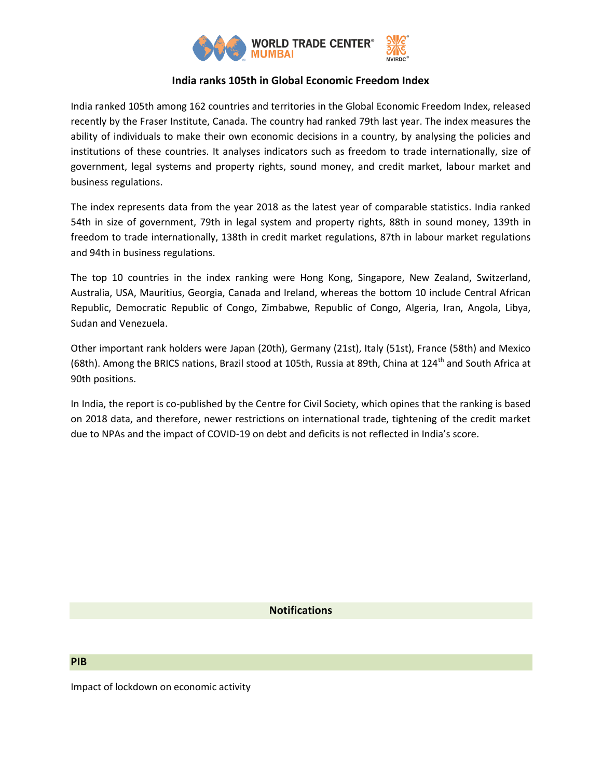

## **India ranks 105th in Global Economic Freedom Index**

India ranked 105th among 162 countries and territories in the Global Economic Freedom Index, released recently by the Fraser Institute, Canada. The country had ranked 79th last year. The index measures the ability of individuals to make their own economic decisions in a country, by analysing the policies and institutions of these countries. It analyses indicators such as freedom to trade internationally, size of government, legal systems and property rights, sound money, and credit market, labour market and business regulations.

The index represents data from the year 2018 as the latest year of comparable statistics. India ranked 54th in size of government, 79th in legal system and property rights, 88th in sound money, 139th in freedom to trade internationally, 138th in credit market regulations, 87th in labour market regulations and 94th in business regulations.

The top 10 countries in the index ranking were Hong Kong, Singapore, New Zealand, Switzerland, Australia, USA, Mauritius, Georgia, Canada and Ireland, whereas the bottom 10 include Central African Republic, Democratic Republic of Congo, Zimbabwe, Republic of Congo, Algeria, Iran, Angola, Libya, Sudan and Venezuela.

Other important rank holders were Japan (20th), Germany (21st), Italy (51st), France (58th) and Mexico (68th). Among the BRICS nations, Brazil stood at 105th, Russia at 89th, China at 124<sup>th</sup> and South Africa at 90th positions.

In India, the report is co-published by the Centre for Civil Society, which opines that the ranking is based on 2018 data, and therefore, newer restrictions on international trade, tightening of the credit market due to NPAs and the impact of COVID-19 on debt and deficits is not reflected in India's score.

## **Notifications**

## **PIB**

Impact of lockdown on economic activity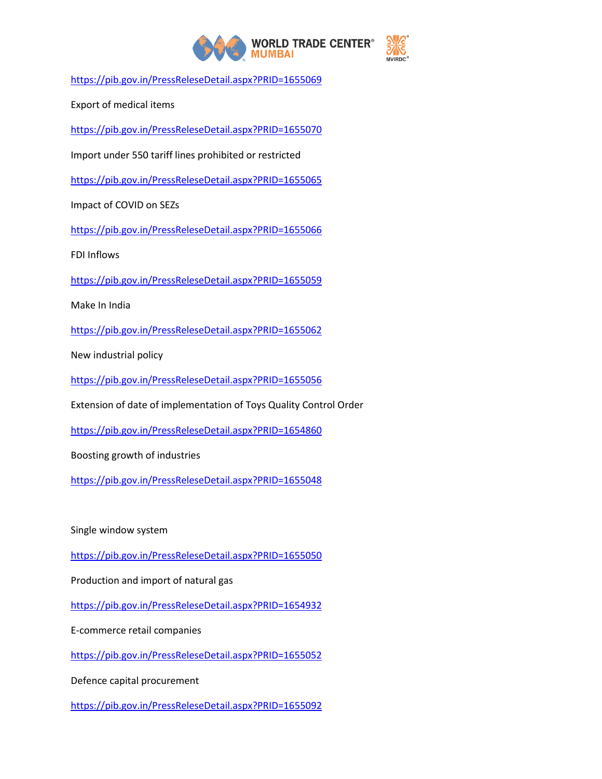

<https://pib.gov.in/PressReleseDetail.aspx?PRID=1655069>

Export of medical items

<https://pib.gov.in/PressReleseDetail.aspx?PRID=1655070>

Import under 550 tariff lines prohibited or restricted

<https://pib.gov.in/PressReleseDetail.aspx?PRID=1655065>

Impact of COVID on SEZs

<https://pib.gov.in/PressReleseDetail.aspx?PRID=1655066>

FDI Inflows

<https://pib.gov.in/PressReleseDetail.aspx?PRID=1655059>

Make In India

<https://pib.gov.in/PressReleseDetail.aspx?PRID=1655062>

New industrial policy

<https://pib.gov.in/PressReleseDetail.aspx?PRID=1655056>

Extension of date of implementation of Toys Quality Control Order

<https://pib.gov.in/PressReleseDetail.aspx?PRID=1654860>

Boosting growth of industries

<https://pib.gov.in/PressReleseDetail.aspx?PRID=1655048>

Single window system

<https://pib.gov.in/PressReleseDetail.aspx?PRID=1655050>

Production and import of natural gas

<https://pib.gov.in/PressReleseDetail.aspx?PRID=1654932>

E-commerce retail companies

<https://pib.gov.in/PressReleseDetail.aspx?PRID=1655052>

Defence capital procurement

<https://pib.gov.in/PressReleseDetail.aspx?PRID=1655092>